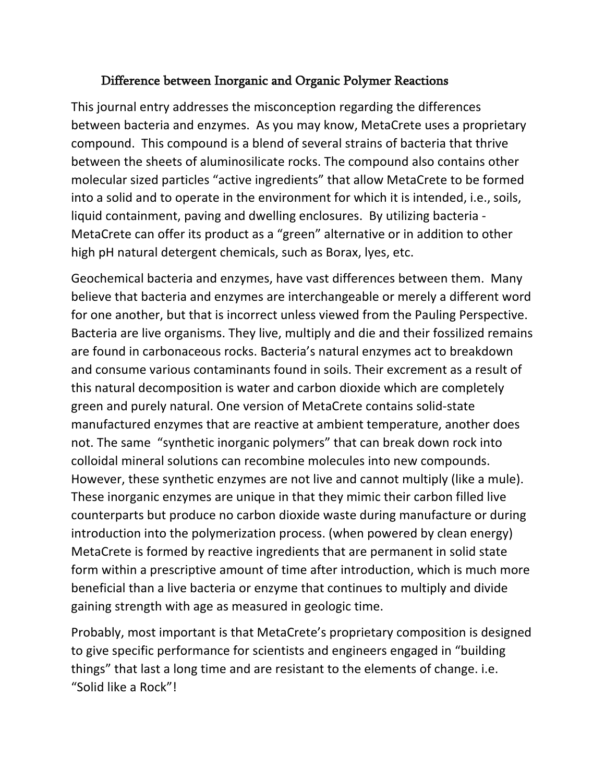## Difference between Inorganic and Organic Polymer Reactions

This journal entry addresses the misconception regarding the differences between bacteria and enzymes. As you may know, MetaCrete uses a proprietary compound. This compound is a blend of several strains of bacteria that thrive between the sheets of aluminosilicate rocks. The compound also contains other molecular sized particles "active ingredients" that allow MetaCrete to be formed into a solid and to operate in the environment for which it is intended, i.e., soils, liquid containment, paving and dwelling enclosures. By utilizing bacteria - MetaCrete can offer its product as a "green" alternative or in addition to other high pH natural detergent chemicals, such as Borax, lyes, etc.

Geochemical bacteria and enzymes, have vast differences between them. Many believe that bacteria and enzymes are interchangeable or merely a different word for one another, but that is incorrect unless viewed from the Pauling Perspective. Bacteria are live organisms. They live, multiply and die and their fossilized remains are found in carbonaceous rocks. Bacteria's natural enzymes act to breakdown and consume various contaminants found in soils. Their excrement as a result of this natural decomposition is water and carbon dioxide which are completely green and purely natural. One version of MetaCrete contains solid-state manufactured enzymes that are reactive at ambient temperature, another does not. The same "synthetic inorganic polymers" that can break down rock into colloidal mineral solutions can recombine molecules into new compounds. However, these synthetic enzymes are not live and cannot multiply (like a mule). These inorganic enzymes are unique in that they mimic their carbon filled live counterparts but produce no carbon dioxide waste during manufacture or during introduction into the polymerization process. (when powered by clean energy) MetaCrete is formed by reactive ingredients that are permanent in solid state form within a prescriptive amount of time after introduction, which is much more beneficial than a live bacteria or enzyme that continues to multiply and divide gaining strength with age as measured in geologic time.

Probably, most important is that MetaCrete's proprietary composition is designed to give specific performance for scientists and engineers engaged in "building things" that last a long time and are resistant to the elements of change. i.e. "Solid like a Rock"!